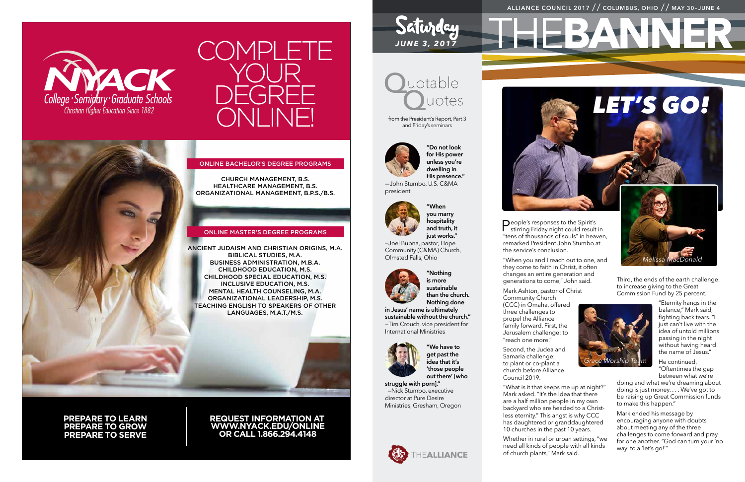# THE**BANNER ALLIANCE COUNCIL 2017** // **COLUMBUS, OHIO** // **MAY 30–JUNE 4**





#### online bachelor's degree programs

church management, b.s. healthcare management, b.s. organizational management, b.p.s./b.s.

#### online master's degree programs

ancient judaism and christian origins, m.a. biblical studies, m.a. business administration, m.b.a. childhood education, m.s. childhood special education, m.s. inclusive education, m.s. mental health counseling, m.a. organizational leadership, m.s. teaching english to speakers of other languages, m.a.t./m.s.

**prepare to learn prepare to grow prepare to serve**

**request information at www.nyack.edu/online or call 1.866.294.4148**



Saturday

from the President's Report, Part 3 and Friday's seminars



**People's responses to the Spirit's**<br>stirring Friday night could result in "tens of thousands of souls" in heaven, remarked President John Stumbo at

**"Do not look for His power unless you're dwelling in His presence."**

—John Stumbo, U.S. C&MA president



**"When you marry hospitality and truth, it just works."**

—Joel Bubna, pastor, Hope Community (C&MA) Church, Olmsted Falls, Ohio



**"Nothing is more sustainable than the church. Nothing done** 

**in Jesus' name is ultimately sustainable without the church."** —Tim Crouch, vice president for International Ministries



**"We have to get past the idea that it's 'those people out there' [who** 

**struggle with porn]."** —Nick Stumbo, executive director at Pure Desire Ministries, Gresham, Oregon





Mark ended his message by encouraging anyone with doubts about meeting any of the three challenges to come forward and pray for one another. "God can turn your 'no way' to a 'let's go!""

the service's conclusion.

"When you and I reach out to one, and they come to faith in Christ, it often changes an entire generation and generations to come," John said.

Mark Ashton, pastor of Christ Community Church (CCC) in Omaha, offered three challenges to propel the Alliance family forward. First, the Jerusalem challenge: to "reach one more."

Second, the Judea and Samaria challenge: to plant or co-plant a church before Alliance Council 2019.

"What is it that keeps me up at night?" Mark asked. "It's the idea that there are a half million people in my own backyard who are headed to a Christless eternity." This angst is why CCC has daughtered or granddaughtered 10 churches in the past 10 years.

Whether in rural or urban settings, "we need all kinds of people with all kinds of church plants," Mark said.

Third, the ends of the earth challenge: to increase giving to the Great Commission Fund by 25 percent.

> "Eternity hangs in the balance," Mark said, fighting back tears. "I just can't live with the idea of untold millions passing in the night without having heard the name of Jesus."

He continued, "Oftentimes the gap between what we're

doing and what we're dreaming about doing is just money. . . . We've got to be raising up Great Commission funds to make this happen."

# *LET'S GO!*